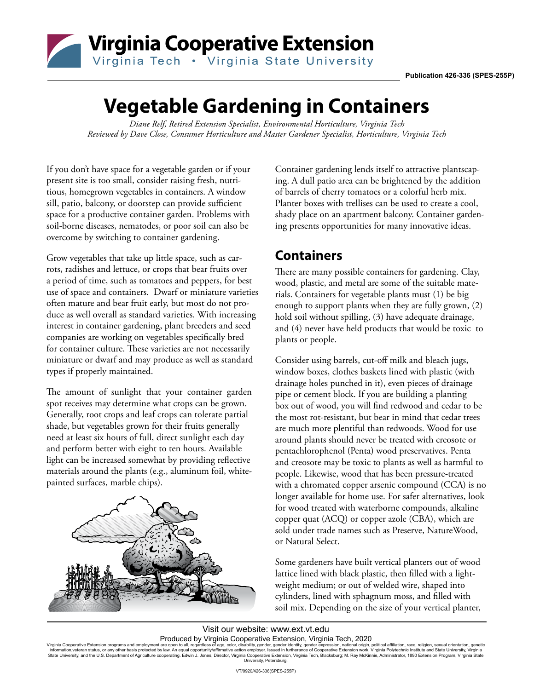## Virginia Cooperative Extension Virginia Tech . Virginia State University

# **Vegetable Gardening in Containers**

*Diane Relf, Retired Extension Specialist, Environmental Horticulture, Virginia Tech Reviewed by Dave Close, Consumer Horticulture and Master Gardener Specialist, Horticulture, Virginia Tech*

If you don't have space for a vegetable garden or if your present site is too small, consider raising fresh, nutritious, homegrown vegetables in containers. A window sill, patio, balcony, or doorstep can provide sufficient space for a productive container garden. Problems with soil-borne diseases, nematodes, or poor soil can also be overcome by switching to container gardening.

Grow vegetables that take up little space, such as carrots, radishes and lettuce, or crops that bear fruits over a period of time, such as tomatoes and peppers, for best use of space and containers. Dwarf or miniature varieties often mature and bear fruit early, but most do not produce as well overall as standard varieties. With increasing interest in container gardening, plant breeders and seed companies are working on vegetables specifically bred for container culture. These varieties are not necessarily miniature or dwarf and may produce as well as standard types if properly maintained.

The amount of sunlight that your container garden spot receives may determine what crops can be grown. Generally, root crops and leaf crops can tolerate partial shade, but vegetables grown for their fruits generally need at least six hours of full, direct sunlight each day and perform better with eight to ten hours. Available light can be increased somewhat by providing reflective materials around the plants (e.g., aluminum foil, whitepainted surfaces, marble chips).



Container gardening lends itself to attractive plantscaping. A dull patio area can be brightened by the addition of barrels of cherry tomatoes or a colorful herb mix. Planter boxes with trellises can be used to create a cool, shady place on an apartment balcony. Container gardening presents opportunities for many innovative ideas.

### **Containers**

There are many possible containers for gardening. Clay, wood, plastic, and metal are some of the suitable materials. Containers for vegetable plants must (1) be big enough to support plants when they are fully grown, (2) hold soil without spilling, (3) have adequate drainage, and (4) never have held products that would be toxic to plants or people.

Consider using barrels, cut-off milk and bleach jugs, window boxes, clothes baskets lined with plastic (with drainage holes punched in it), even pieces of drainage pipe or cement block. If you are building a planting box out of wood, you will find redwood and cedar to be the most rot-resistant, but bear in mind that cedar trees are much more plentiful than redwoods. Wood for use around plants should never be treated with creosote or pentachlorophenol (Penta) wood preservatives. Penta and creosote may be toxic to plants as well as harmful to people. Likewise, wood that has been pressure-treated with a chromated copper arsenic compound (CCA) is no longer available for home use. For safer alternatives, look for wood treated with waterborne compounds, alkaline copper quat (ACQ) or copper azole (CBA), which are sold under trade names such as Preserve, NatureWood, or Natural Select.

Some gardeners have built vertical planters out of wood lattice lined with black plastic, then filled with a lightweight medium; or out of welded wire, shaped into cylinders, lined with sphagnum moss, and filled with soil mix. Depending on the size of your vertical planter,

#### Visit our website: www.ext.vt.edu

Produced by Virginia Cooperative Extension, Virginia Tech, 2020

Virginia Cooperative Extension programs and employment are open to all, regardless of age, color, disability, gender, gender identity, gender expression, national origin, political affiliation, race, religion, sexual orien University, Petersburg.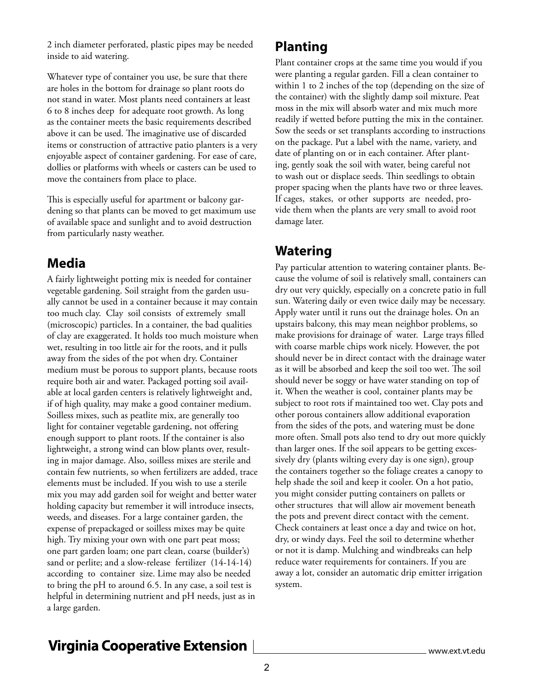2 inch diameter perforated, plastic pipes may be needed inside to aid watering.

Whatever type of container you use, be sure that there are holes in the bottom for drainage so plant roots do not stand in water. Most plants need containers at least 6 to 8 inches deep for adequate root growth. As long as the container meets the basic requirements described above it can be used. The imaginative use of discarded items or construction of attractive patio planters is a very enjoyable aspect of container gardening. For ease of care, dollies or platforms with wheels or casters can be used to move the containers from place to place.

This is especially useful for apartment or balcony gardening so that plants can be moved to get maximum use of available space and sunlight and to avoid destruction from particularly nasty weather.

#### **Media**

A fairly lightweight potting mix is needed for container vegetable gardening. Soil straight from the garden usually cannot be used in a container because it may contain too much clay. Clay soil consists of extremely small (microscopic) particles. In a container, the bad qualities of clay are exaggerated. It holds too much moisture when wet, resulting in too little air for the roots, and it pulls away from the sides of the pot when dry. Container medium must be porous to support plants, because roots require both air and water. Packaged potting soil available at local garden centers is relatively lightweight and, if of high quality, may make a good container medium. Soilless mixes, such as peatlite mix, are generally too light for container vegetable gardening, not offering enough support to plant roots. If the container is also lightweight, a strong wind can blow plants over, resulting in major damage. Also, soilless mixes are sterile and contain few nutrients, so when fertilizers are added, trace elements must be included. If you wish to use a sterile mix you may add garden soil for weight and better water holding capacity but remember it will introduce insects, weeds, and diseases. For a large container garden, the expense of prepackaged or soilless mixes may be quite high. Try mixing your own with one part peat moss; one part garden loam; one part clean, coarse (builder's) sand or perlite; and a slow-release fertilizer (14-14-14) according to container size. Lime may also be needed to bring the pH to around 6.5. In any case, a soil test is helpful in determining nutrient and pH needs, just as in a large garden.

#### **Planting**

Plant container crops at the same time you would if you were planting a regular garden. Fill a clean container to within 1 to 2 inches of the top (depending on the size of the container) with the slightly damp soil mixture. Peat moss in the mix will absorb water and mix much more readily if wetted before putting the mix in the container. Sow the seeds or set transplants according to instructions on the package. Put a label with the name, variety, and date of planting on or in each container. After planting, gently soak the soil with water, being careful not to wash out or displace seeds. Thin seedlings to obtain proper spacing when the plants have two or three leaves. If cages, stakes, or other supports are needed, provide them when the plants are very small to avoid root damage later.

#### **Watering**

Pay particular attention to watering container plants. Because the volume of soil is relatively small, containers can dry out very quickly, especially on a concrete patio in full sun. Watering daily or even twice daily may be necessary. Apply water until it runs out the drainage holes. On an upstairs balcony, this may mean neighbor problems, so make provisions for drainage of water. Large trays filled with coarse marble chips work nicely. However, the pot should never be in direct contact with the drainage water as it will be absorbed and keep the soil too wet. The soil should never be soggy or have water standing on top of it. When the weather is cool, container plants may be subject to root rots if maintained too wet. Clay pots and other porous containers allow additional evaporation from the sides of the pots, and watering must be done more often. Small pots also tend to dry out more quickly than larger ones. If the soil appears to be getting excessively dry (plants wilting every day is one sign), group the containers together so the foliage creates a canopy to help shade the soil and keep it cooler. On a hot patio, you might consider putting containers on pallets or other structures that will allow air movement beneath the pots and prevent direct contact with the cement. Check containers at least once a day and twice on hot, dry, or windy days. Feel the soil to determine whether or not it is damp. Mulching and windbreaks can help reduce water requirements for containers. If you are away a lot, consider an automatic drip emitter irrigation system.

### **Virginia Cooperative Extension**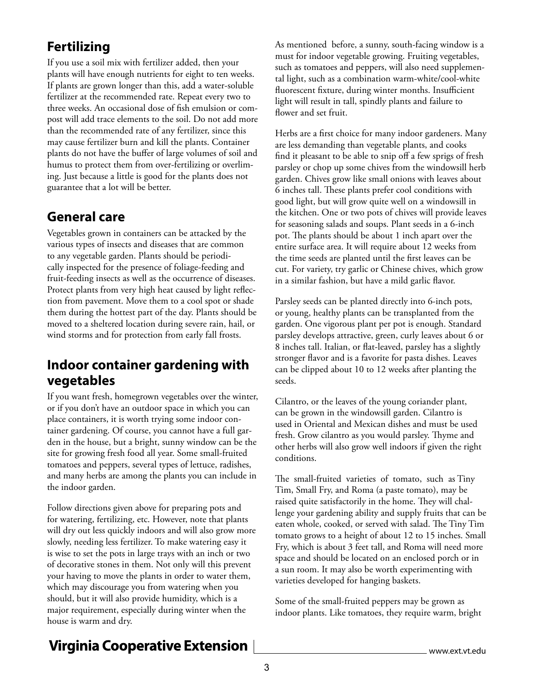### **Fertilizing**

If you use a soil mix with fertilizer added, then your plants will have enough nutrients for eight to ten weeks. If plants are grown longer than this, add a water-soluble fertilizer at the recommended rate. Repeat every two to three weeks. An occasional dose of fish emulsion or compost will add trace elements to the soil. Do not add more than the recommended rate of any fertilizer, since this may cause fertilizer burn and kill the plants. Container plants do not have the buffer of large volumes of soil and humus to protect them from over-fertilizing or overliming. Just because a little is good for the plants does not guarantee that a lot will be better.

### **General care**

Vegetables grown in containers can be attacked by the various types of insects and diseases that are common to any vegetable garden. Plants should be periodically inspected for the presence of foliage-feeding and fruit-feeding insects as well as the occurrence of diseases. Protect plants from very high heat caused by light reflection from pavement. Move them to a cool spot or shade them during the hottest part of the day. Plants should be moved to a sheltered location during severe rain, hail, or wind storms and for protection from early fall frosts.

### **Indoor container gardening with vegetables**

If you want fresh, homegrown vegetables over the winter, or if you don't have an outdoor space in which you can place containers, it is worth trying some indoor container gardening. Of course, you cannot have a full garden in the house, but a bright, sunny window can be the site for growing fresh food all year. Some small-fruited tomatoes and peppers, several types of lettuce, radishes, and many herbs are among the plants you can include in the indoor garden.

Follow directions given above for preparing pots and for watering, fertilizing, etc. However, note that plants will dry out less quickly indoors and will also grow more slowly, needing less fertilizer. To make watering easy it is wise to set the pots in large trays with an inch or two of decorative stones in them. Not only will this prevent your having to move the plants in order to water them, which may discourage you from watering when you should, but it will also provide humidity, which is a major requirement, especially during winter when the house is warm and dry.

As mentioned before, a sunny, south-facing window is a must for indoor vegetable growing. Fruiting vegetables, such as tomatoes and peppers, will also need supplemental light, such as a combination warm-white/cool-white fluorescent fixture, during winter months. Insufficient light will result in tall, spindly plants and failure to flower and set fruit.

Herbs are a first choice for many indoor gardeners. Many are less demanding than vegetable plants, and cooks find it pleasant to be able to snip off a few sprigs of fresh parsley or chop up some chives from the windowsill herb garden. Chives grow like small onions with leaves about 6 inches tall. These plants prefer cool conditions with good light, but will grow quite well on a windowsill in the kitchen. One or two pots of chives will provide leaves for seasoning salads and soups. Plant seeds in a 6-inch pot. The plants should be about 1 inch apart over the entire surface area. It will require about 12 weeks from the time seeds are planted until the first leaves can be cut. For variety, try garlic or Chinese chives, which grow in a similar fashion, but have a mild garlic flavor.

Parsley seeds can be planted directly into 6-inch pots, or young, healthy plants can be transplanted from the garden. One vigorous plant per pot is enough. Standard parsley develops attractive, green, curly leaves about 6 or 8 inches tall. Italian, or flat-leaved, parsley has a slightly stronger flavor and is a favorite for pasta dishes. Leaves can be clipped about 10 to 12 weeks after planting the seeds.

Cilantro, or the leaves of the young coriander plant, can be grown in the windowsill garden. Cilantro is used in Oriental and Mexican dishes and must be used fresh. Grow cilantro as you would parsley. Thyme and other herbs will also grow well indoors if given the right conditions.

The small-fruited varieties of tomato, such as Tiny Tim, Small Fry, and Roma (a paste tomato), may be raised quite satisfactorily in the home. They will challenge your gardening ability and supply fruits that can be eaten whole, cooked, or served with salad. The Tiny Tim tomato grows to a height of about 12 to 15 inches. Small Fry, which is about 3 feet tall, and Roma will need more space and should be located on an enclosed porch or in a sun room. It may also be worth experimenting with varieties developed for hanging baskets.

Some of the small-fruited peppers may be grown as indoor plants. Like tomatoes, they require warm, bright

### **Virginia Cooperative Extension**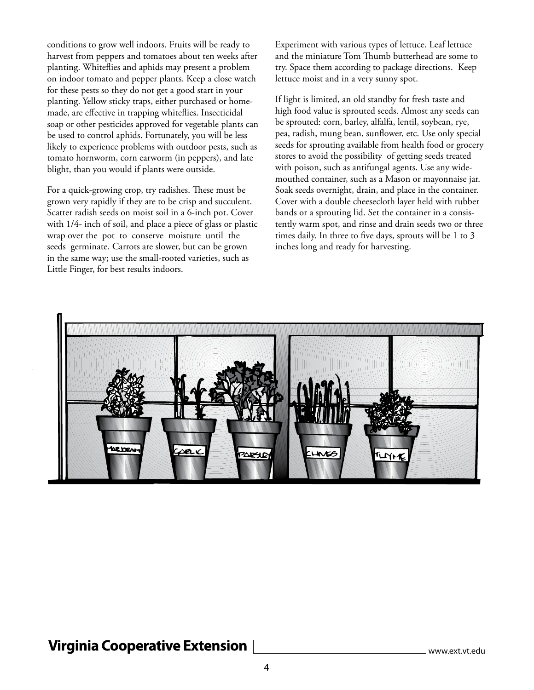conditions to grow well indoors. Fruits will be ready to harvest from peppers and tomatoes about ten weeks after planting. Whiteflies and aphids may present a problem on indoor tomato and pepper plants. Keep a close watch for these pests so they do not get a good start in your planting. Yellow sticky traps, either purchased or homemade, are effective in trapping whiteflies. Insecticidal soap or other pesticides approved for vegetable plants can be used to control aphids. Fortunately, you will be less likely to experience problems with outdoor pests, such as tomato hornworm, corn earworm (in peppers), and late blight, than you would if plants were outside.

For a quick-growing crop, try radishes. These must be grown very rapidly if they are to be crisp and succulent. Scatter radish seeds on moist soil in a 6-inch pot. Cover with 1/4- inch of soil, and place a piece of glass or plastic wrap over the pot to conserve moisture until the seeds germinate. Carrots are slower, but can be grown in the same way; use the small-rooted varieties, such as Little Finger, for best results indoors.

Experiment with various types of lettuce. Leaf lettuce and the miniature Tom Thumb butterhead are some to try. Space them according to package directions. Keep lettuce moist and in a very sunny spot.

If light is limited, an old standby for fresh taste and high food value is sprouted seeds. Almost any seeds can be sprouted: corn, barley, alfalfa, lentil, soybean, rye, pea, radish, mung bean, sunflower, etc. Use only special seeds for sprouting available from health food or grocery stores to avoid the possibility of getting seeds treated with poison, such as antifungal agents. Use any widemouthed container, such as a Mason or mayonnaise jar. Soak seeds overnight, drain, and place in the container. Cover with a double cheesecloth layer held with rubber bands or a sprouting lid. Set the container in a consistently warm spot, and rinse and drain seeds two or three times daily. In three to five days, sprouts will be 1 to 3 inches long and ready for harvesting.